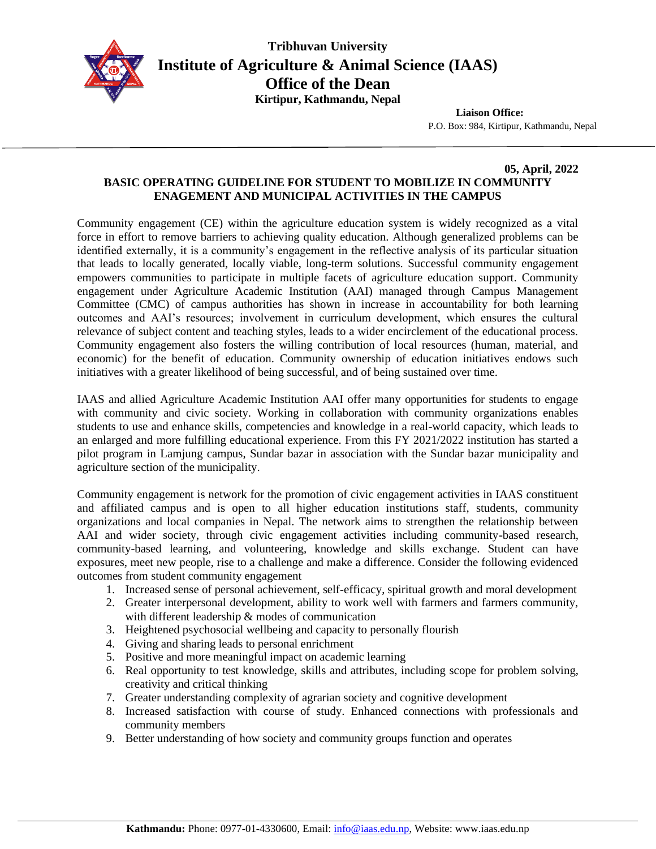

**Tribhuvan University Institute of Agriculture & Animal Science (IAAS) Office of the Dean Kirtipur, Kathmandu, Nepal**

**Liaison Office:**

P.O. Box: 984, Kirtipur, Kathmandu, Nepal

## **05, April, 2022 BASIC OPERATING GUIDELINE FOR STUDENT TO MOBILIZE IN COMMUNITY ENAGEMENT AND MUNICIPAL ACTIVITIES IN THE CAMPUS**

Community engagement (CE) within the agriculture education system is widely recognized as a vital force in effort to remove barriers to achieving quality education. Although generalized problems can be identified externally, it is a community's engagement in the reflective analysis of its particular situation that leads to locally generated, locally viable, long-term solutions. Successful community engagement empowers communities to participate in multiple facets of agriculture education support. Community engagement under Agriculture Academic Institution (AAI) managed through Campus Management Committee (CMC) of campus authorities has shown in increase in accountability for both learning outcomes and AAI's resources; involvement in curriculum development, which ensures the cultural relevance of subject content and teaching styles, leads to a wider encirclement of the educational process. Community engagement also fosters the willing contribution of local resources (human, material, and economic) for the benefit of education. Community ownership of education initiatives endows such initiatives with a greater likelihood of being successful, and of being sustained over time.

IAAS and allied Agriculture Academic Institution AAI offer many opportunities for students to engage with community and civic society. Working in collaboration with community organizations enables students to use and enhance skills, competencies and knowledge in a real-world capacity, which leads to an enlarged and more fulfilling educational experience. From this FY 2021/2022 institution has started a pilot program in Lamjung campus, Sundar bazar in association with the Sundar bazar municipality and agriculture section of the municipality.

Community engagement is network for the promotion of civic engagement activities in IAAS constituent and affiliated campus and is open to all higher education institutions staff, students, community organizations and local companies in Nepal. The network aims to strengthen the relationship between AAI and wider society, through civic engagement activities including community-based research, community-based learning, and volunteering, knowledge and skills exchange. Student can have exposures, meet new people, rise to a challenge and make a difference. Consider the following evidenced outcomes from student community engagement

- 1. Increased sense of personal achievement, self-efficacy, spiritual growth and moral development
- 2. Greater interpersonal development, ability to work well with farmers and farmers community, with different leadership & modes of communication
- 3. Heightened psychosocial wellbeing and capacity to personally flourish
- 4. Giving and sharing leads to personal enrichment
- 5. Positive and more meaningful impact on academic learning
- 6. Real opportunity to test knowledge, skills and attributes, including scope for problem solving, creativity and critical thinking
- 7. Greater understanding complexity of agrarian society and cognitive development
- 8. Increased satisfaction with course of study. Enhanced connections with professionals and community members
- 9. Better understanding of how society and community groups function and operates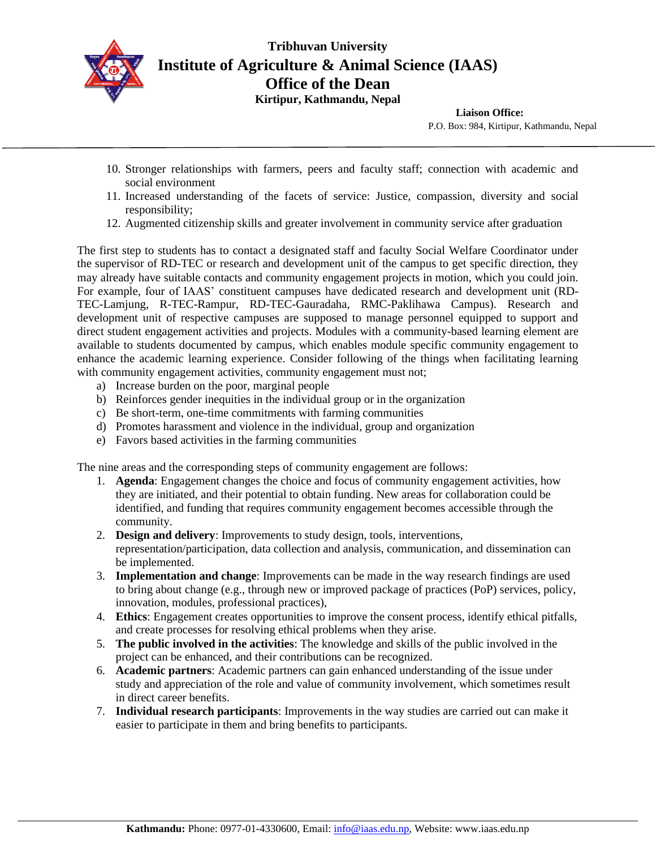

**Tribhuvan University Institute of Agriculture & Animal Science (IAAS) Office of the Dean Kirtipur, Kathmandu, Nepal**

**Liaison Office:**

P.O. Box: 984, Kirtipur, Kathmandu, Nepal

- 10. Stronger relationships with farmers, peers and faculty staff; connection with academic and social environment
- 11. Increased understanding of the facets of service: Justice, compassion, diversity and social responsibility;
- 12. Augmented citizenship skills and greater involvement in community service after graduation

The first step to students has to contact a designated staff and faculty Social Welfare Coordinator under the supervisor of RD-TEC or research and development unit of the campus to get specific direction, they may already have suitable contacts and community engagement projects in motion, which you could join. For example, four of IAAS' constituent campuses have dedicated research and development unit (RD-TEC-Lamjung, R-TEC-Rampur, RD-TEC-Gauradaha, RMC-Paklihawa Campus). Research and development unit of respective campuses are supposed to manage personnel equipped to support and direct student engagement activities and projects. Modules with a community-based learning element are available to students documented by campus, which enables module specific community engagement to enhance the academic learning experience. Consider following of the things when facilitating learning with community engagement activities, community engagement must not;

- a) Increase burden on the poor, marginal people
- b) Reinforces gender inequities in the individual group or in the organization
- c) Be short-term, one-time commitments with farming communities
- d) Promotes harassment and violence in the individual, group and organization
- e) Favors based activities in the farming communities

The nine areas and the corresponding steps of community engagement are follows:

- 1. **Agenda**: Engagement changes the choice and focus of community engagement activities, how they are initiated, and their potential to obtain funding. New areas for collaboration could be identified, and funding that requires community engagement becomes accessible through the community.
- 2. **Design and delivery**: Improvements to study design, tools, interventions, representation/participation, data collection and analysis, communication, and dissemination can be implemented.
- 3. **Implementation and change**: Improvements can be made in the way research findings are used to bring about change (e.g., through new or improved package of practices (PoP) services, policy, innovation, modules, professional practices),
- 4. **Ethics**: Engagement creates opportunities to improve the consent process, identify ethical pitfalls, and create processes for resolving ethical problems when they arise.
- 5. **The public involved in the activities**: The knowledge and skills of the public involved in the project can be enhanced, and their contributions can be recognized.
- 6. **Academic partners**: Academic partners can gain enhanced understanding of the issue under study and appreciation of the role and value of community involvement, which sometimes result in direct career benefits.
- 7. **Individual research participants**: Improvements in the way studies are carried out can make it easier to participate in them and bring benefits to participants.